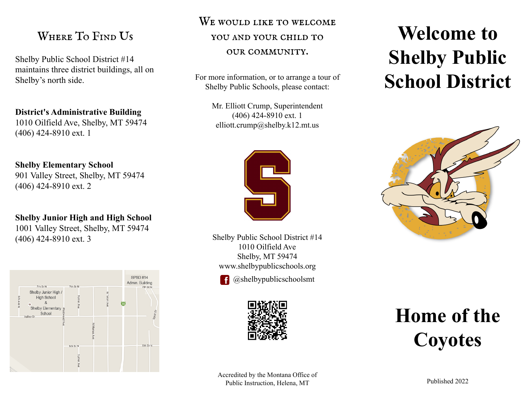## WHERE TO FIND US

Shelby Public School District #14 maintains three district buildings, all on Shelby's north side.

### **District's Administrative Building**

1010 Oilfield Ave, Shelby, MT 59474 (406) 424-8910 ext. 1

### **Shelby Elementary School**

901 Valley Street, Shelby, MT 59474 (406) 424-8910 ext. 2

### **Shelby Junior High and High School** 1001 Valley Street, Shelby, MT 59474 (406) 424-8910 ext. 3



## WE WOULD LIKE TO WELCOME

### you and your child to

### our community.

For more information, or to arrange a tour of Shelby Public Schools, please contact:

> Mr. Elliott Crump, Superintendent (406) 424-8910 ext. 1 elliott.crump@shelby.k12.mt.us



Shelby Public School District #14 1010 Oilfield Ave Shelby, MT 59474 www.shelbypublicschools.org



@shelbypublicschoolsmt



# **Welcome to Shelby Public School District**



## **Home of the Coyotes**

Accredited by the Montana Office of Public Instruction, Helena, MT